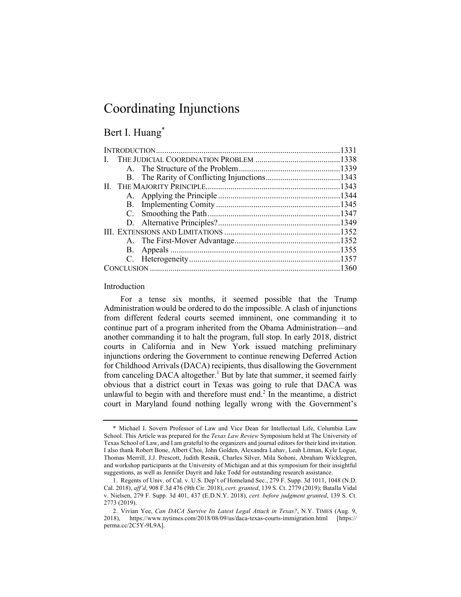# Coordinating Injunctions

### Bert I. Huang\*

#### Introduction

For a tense six months, it seemed possible that the Trump Administration would be ordered to do the impossible. A clash of injunctions from different federal courts seemed imminent, one commanding it to continue part of a program inherited from the Obama Administration—and another commanding it to halt the program, full stop. In early 2018, district courts in California and in New York issued matching preliminary injunctions ordering the Government to continue renewing Deferred Action for Childhood Arrivals (DACA) recipients, thus disallowing the Government from canceling DACA altogether.<sup>1</sup> But by late that summer, it seemed fairly obvious that a district court in Texas was going to rule that DACA was unlawful to begin with and therefore must end.<sup>2</sup> In the meantime, a district court in Maryland found nothing legally wrong with the Government's

<sup>\*</sup> Michael I. Sovern Professor of Law and Vice Dean for Intellectual Life, Columbia Law School. This Article was prepared for the *Texas Law Review* Symposium held at The University of Texas School of Law, and I am grateful to the organizers and journal editors for their kind invitation. I also thank Robert Bone, Albert Choi, John Golden, Alexandra Lahav, Leah Litman, Kyle Logue, Thomas Merrill, J.J. Prescott, Judith Resnik, Charles Silver, Mila Sohoni, Abraham Wicklegren, and workshop participants at the University of Michigan and at this symposium for their insightful suggestions, as well as Jennifer Dayrit and Jake Todd for outstanding research assistance.

<sup>1.</sup> Regents of Univ. of Cal. v. U.S. Dep't of Homeland Sec., 279 F. Supp. 3d 1011, 1048 (N.D. Cal. 2018), *aff'd*, 908 F.3d 476 (9th Cir. 2018), *cert. granted*, 139 S. Ct. 2779 (2019); Batalla Vidal v. Nielsen, 279 F. Supp. 3d 401, 437 (E.D.N.Y. 2018), *cert. before judgment granted*, 139 S. Ct. 2773 (2019).

<sup>2.</sup> Vivian Yee, *Can DACA Survive Its Latest Legal Attack in Texas?*, N.Y. TIMES (Aug. 9, 2018), https://www.nytimes.com/2018/08/09/us/daca-texas-courts-immigration.html [https:// perma.cc/2C5Y-9L9A].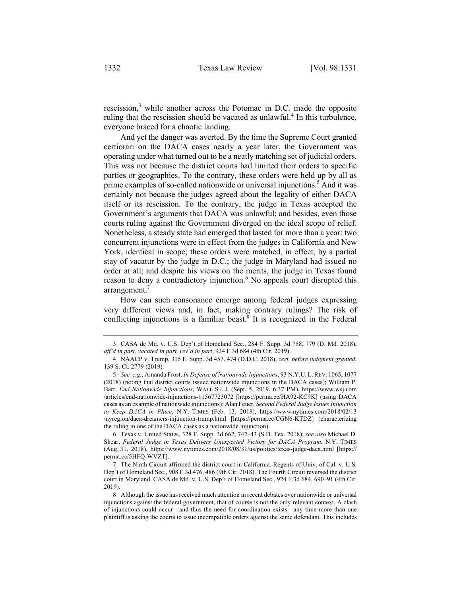rescission,<sup>3</sup> while another across the Potomac in D.C. made the opposite ruling that the rescission should be vacated as unlawful.<sup>4</sup> In this turbulence, everyone braced for a chaotic landing.

And yet the danger was averted. By the time the Supreme Court granted certiorari on the DACA cases nearly a year later, the Government was operating under what turned out to be a neatly matching set of judicial orders. This was not because the district courts had limited their orders to specific parties or geographies. To the contrary, these orders were held up by all as prime examples of so-called nationwide or universal injunctions.<sup>5</sup> And it was certainly not because the judges agreed about the legality of either DACA itself or its rescission. To the contrary, the judge in Texas accepted the Government's arguments that DACA was unlawful; and besides, even those courts ruling against the Government diverged on the ideal scope of relief. Nonetheless, a steady state had emerged that lasted for more than a year: two concurrent injunctions were in effect from the judges in California and New York, identical in scope; these orders were matched, in effect, by a partial stay of vacatur by the judge in D.C.; the judge in Maryland had issued no order at all; and despite his views on the merits, the judge in Texas found reason to deny a contradictory injunction.<sup>6</sup> No appeals court disrupted this arrangement.<sup>7</sup>

How can such consonance emerge among federal judges expressing very different views and, in fact, making contrary rulings? The risk of conflicting injunctions is a familiar beast.<sup>8</sup> It is recognized in the Federal

6. Texas v. United States, 328 F. Supp. 3d 662, 742–43 (S.D. Tex. 2018); *see also* Michael D. Shear, *Federal Judge in Texas Delivers Unexpected Victory for DACA Program*, N.Y. TIMES (Aug. 31, 2018), https://www.nytimes.com/2018/08/31/us/politics/texas-judge-daca.html [https:// perma.cc/5HFQ-WVZT].

<sup>3.</sup> CASA de Md. v. U.S. Dep't of Homeland Sec., 284 F. Supp. 3d 758, 779 (D. Md. 2018), *aff'd in part, vacated in part, rev'd in part*, 924 F.3d 684 (4th Cir. 2019).

<sup>4.</sup> NAACP v. Trump, 315 F. Supp. 3d 457, 474 (D.D.C. 2018), *cert. before judgment granted*, 139 S. Ct. 2779 (2019).

<sup>5.</sup> *See, e.g.*, Amanda Frost, *In Defense of Nationwide Injunctions*, 93 N.Y.U. L.REV. 1065, 1077 (2018) (noting that district courts issued nationwide injunctions in the DACA cases); William P. Barr, *End Nationwide Injunctions*, WALL ST. J. (Sept. 5, 2019, 6:37 PM), https://www.wsj.com /articles/end-nationwide-injunctions-11567723072 [https://perma.cc/HA92-KC9K] (using DACA cases as an example of nationwide injunctions); Alan Feuer, *Second Federal Judge Issues Injunction to Keep DACA in Place*, N.Y. TIMES (Feb. 13, 2018), https://www.nytimes.com/2018/02/13 /nyregion/daca-dreamers-injunction-trump.html [https://perma.cc/CGN6-KTDZ] (characterizing the ruling in one of the DACA cases as a nationwide injunction).

<sup>7.</sup> The Ninth Circuit affirmed the district court in California. Regents of Univ. of Cal. v. U.S. Dep't of Homeland Sec., 908 F.3d 476, 486 (9th Cir. 2018). The Fourth Circuit reversed the district court in Maryland. CASA de Md. v. U.S. Dep't of Homeland Sec., 924 F.3d 684, 690–91 (4th Cir. 2019).

<sup>8.</sup> Although the issue has received much attention in recent debates over nationwide or universal injunctions against the federal government, that of course is not the only relevant context. A clash of injunctions could occur—and thus the need for coordination exists—any time more than one plaintiff is asking the courts to issue incompatible orders against the same defendant. This includes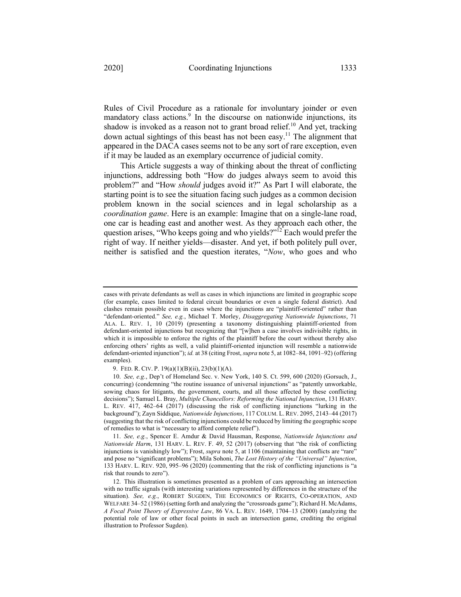Rules of Civil Procedure as a rationale for involuntary joinder or even mandatory class actions.<sup>9</sup> In the discourse on nationwide injunctions, its shadow is invoked as a reason not to grant broad relief.<sup>10</sup> And yet, tracking down actual sightings of this beast has not been easy.<sup>11</sup> The alignment that appeared in the DACA cases seems not to be any sort of rare exception, even if it may be lauded as an exemplary occurrence of judicial comity.

This Article suggests a way of thinking about the threat of conflicting injunctions, addressing both "How do judges always seem to avoid this problem?" and "How *should* judges avoid it?" As Part I will elaborate, the starting point is to see the situation facing such judges as a common decision problem known in the social sciences and in legal scholarship as a *coordination game*. Here is an example: Imagine that on a single-lane road, one car is heading east and another west. As they approach each other, the question arises, "Who keeps going and who yields?"<sup>12</sup> Each would prefer the right of way. If neither yields—disaster. And yet, if both politely pull over, neither is satisfied and the question iterates, "*Now*, who goes and who

cases with private defendants as well as cases in which injunctions are limited in geographic scope (for example, cases limited to federal circuit boundaries or even a single federal district). And clashes remain possible even in cases where the injunctions are "plaintiff-oriented" rather than "defendant-oriented." *See, e.g.*, Michael T. Morley, *Disaggregating Nationwide Injunctions*, 71 ALA. L. REV. 1, 10 (2019) (presenting a taxonomy distinguishing plaintiff-oriented from defendant-oriented injunctions but recognizing that "[w]hen a case involves indivisible rights, in which it is impossible to enforce the rights of the plaintiff before the court without thereby also enforcing others' rights as well, a valid plaintiff-oriented injunction will resemble a nationwide defendant-oriented injunction"); *id.* at 38 (citing Frost, *supra* note 5, at 1082–84, 1091–92) (offering examples).

<sup>9.</sup> FED. R. CIV. P. 19(a)(1)(B)(ii), 23(b)(1)(A).

<sup>10.</sup> *See, e.g.*, Dep't of Homeland Sec. v. New York, 140 S. Ct. 599, 600 (2020) (Gorsuch, J., concurring) (condemning "the routine issuance of universal injunctions" as "patently unworkable, sowing chaos for litigants, the government, courts, and all those affected by these conflicting decisions"); Samuel L. Bray, *Multiple Chancellors: Reforming the National Injunction*, 131 HARV. L. REV. 417, 462–64 (2017) (discussing the risk of conflicting injunctions "lurking in the background"); Zayn Siddique, *Nationwide Injunctions*, 117 COLUM. L. REV. 2095, 2143–44 (2017) (suggesting that the risk of conflicting injunctions could be reduced by limiting the geographic scope of remedies to what is "necessary to afford complete relief").

<sup>11.</sup> *See, e.g.*, Spencer E. Amdur & David Hausman, Response, *Nationwide Injunctions and Nationwide Harm*, 131 HARV. L. REV. F. 49, 52 (2017) (observing that "the risk of conflicting injunctions is vanishingly low"); Frost, *supra* note 5, at 1106 (maintaining that conflicts are "rare" and pose no "significant problems"); Mila Sohoni, *The Lost History of the "Universal" Injunction*, 133 HARV. L. REV. 920, 995–96 (2020) (commenting that the risk of conflicting injunctions is "a risk that rounds to zero").

<sup>12.</sup> This illustration is sometimes presented as a problem of cars approaching an intersection with no traffic signals (with interesting variations represented by differences in the structure of the situation). *See, e.g.*, ROBERT SUGDEN, THE ECONOMICS OF RIGHTS, CO-OPERATION, AND WELFARE 34–52 (1986) (setting forth and analyzing the "crossroads game"); Richard H. McAdams, *A Focal Point Theory of Expressive Law*, 86 VA. L. REV. 1649, 1704–13 (2000) (analyzing the potential role of law or other focal points in such an intersection game, crediting the original illustration to Professor Sugden).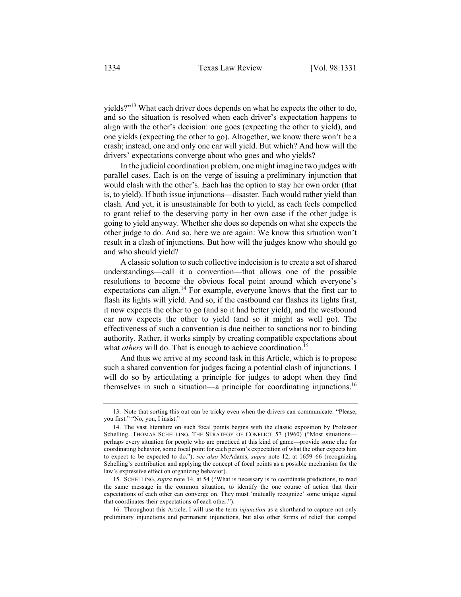yields?"13 What each driver does depends on what he expects the other to do, and so the situation is resolved when each driver's expectation happens to align with the other's decision: one goes (expecting the other to yield), and one yields (expecting the other to go). Altogether, we know there won't be a crash; instead, one and only one car will yield. But which? And how will the drivers' expectations converge about who goes and who yields?

In the judicial coordination problem, one might imagine two judges with parallel cases. Each is on the verge of issuing a preliminary injunction that would clash with the other's. Each has the option to stay her own order (that is, to yield). If both issue injunctions—disaster. Each would rather yield than clash. And yet, it is unsustainable for both to yield, as each feels compelled to grant relief to the deserving party in her own case if the other judge is going to yield anyway. Whether she does so depends on what she expects the other judge to do. And so, here we are again: We know this situation won't result in a clash of injunctions. But how will the judges know who should go and who should yield?

A classic solution to such collective indecision is to create a set of shared understandings—call it a convention—that allows one of the possible resolutions to become the obvious focal point around which everyone's expectations can align. $14$  For example, everyone knows that the first car to flash its lights will yield. And so, if the eastbound car flashes its lights first, it now expects the other to go (and so it had better yield), and the westbound car now expects the other to yield (and so it might as well go). The effectiveness of such a convention is due neither to sanctions nor to binding authority. Rather, it works simply by creating compatible expectations about what *others* will do. That is enough to achieve coordination.<sup>15</sup>

And thus we arrive at my second task in this Article, which is to propose such a shared convention for judges facing a potential clash of injunctions. I will do so by articulating a principle for judges to adopt when they find themselves in such a situation—a principle for coordinating injunctions.<sup>16</sup>

16. Throughout this Article, I will use the term *injunction* as a shorthand to capture not only preliminary injunctions and permanent injunctions, but also other forms of relief that compel

<sup>13.</sup> Note that sorting this out can be tricky even when the drivers can communicate: "Please, you first." "No, you, I insist."

<sup>14.</sup> The vast literature on such focal points begins with the classic exposition by Professor Schelling. THOMAS SCHELLING, THE STRATEGY OF CONFLICT 57 (1960) ("Most situationsperhaps every situation for people who are practiced at this kind of game—provide some clue for coordinating behavior, some focal point for each person's expectation of what the other expects him to expect to be expected to do."); *see also* McAdams, *supra* note 12, at 1659–66 (recognizing Schelling's contribution and applying the concept of focal points as a possible mechanism for the law's expressive effect on organizing behavior).

<sup>15.</sup> SCHELLING, *supra* note 14, at 54 ("What is necessary is to coordinate predictions, to read the same message in the common situation, to identify the one course of action that their expectations of each other can converge on. They must 'mutually recognize' some unique signal that coordinates their expectations of each other.").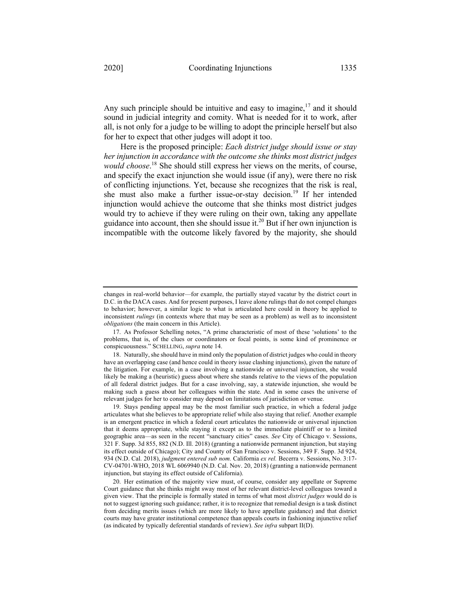Any such principle should be intuitive and easy to imagine, $17$  and it should sound in judicial integrity and comity. What is needed for it to work, after all, is not only for a judge to be willing to adopt the principle herself but also for her to expect that other judges will adopt it too.

Here is the proposed principle: *Each district judge should issue or stay her injunction in accordance with the outcome she thinks most district judges would choose*. <sup>18</sup> She should still express her views on the merits, of course, and specify the exact injunction she would issue (if any), were there no risk of conflicting injunctions. Yet, because she recognizes that the risk is real, she must also make a further issue-or-stay decision.<sup>19</sup> If her intended injunction would achieve the outcome that she thinks most district judges would try to achieve if they were ruling on their own, taking any appellate guidance into account, then she should issue it.<sup>20</sup> But if her own injunction is incompatible with the outcome likely favored by the majority, she should

20. Her estimation of the majority view must, of course, consider any appellate or Supreme Court guidance that she thinks might sway most of her relevant district-level colleagues toward a given view. That the principle is formally stated in terms of what most *district judges* would do is not to suggest ignoring such guidance; rather, it is to recognize that remedial design is a task distinct from deciding merits issues (which are more likely to have appellate guidance) and that district courts may have greater institutional competence than appeals courts in fashioning injunctive relief (as indicated by typically deferential standards of review). *See infra* subpart II(D).

changes in real-world behavior—for example, the partially stayed vacatur by the district court in D.C. in the DACA cases. And for present purposes, I leave alone rulings that do not compel changes to behavior; however, a similar logic to what is articulated here could in theory be applied to inconsistent *rulings* (in contexts where that may be seen as a problem) as well as to inconsistent *obligations* (the main concern in this Article).

<sup>17.</sup> As Professor Schelling notes, "A prime characteristic of most of these 'solutions' to the problems, that is, of the clues or coordinators or focal points, is some kind of prominence or conspicuousness." SCHELLING, *supra* note 14.

<sup>18.</sup> Naturally, she should have in mind only the population of district judges who could in theory have an overlapping case (and hence could in theory issue clashing injunctions), given the nature of the litigation. For example, in a case involving a nationwide or universal injunction, she would likely be making a (heuristic) guess about where she stands relative to the views of the population of all federal district judges. But for a case involving, say, a statewide injunction, she would be making such a guess about her colleagues within the state. And in some cases the universe of relevant judges for her to consider may depend on limitations of jurisdiction or venue.

<sup>19.</sup> Stays pending appeal may be the most familiar such practice, in which a federal judge articulates what she believes to be appropriate relief while also staying that relief. Another example is an emergent practice in which a federal court articulates the nationwide or universal injunction that it deems appropriate, while staying it except as to the immediate plaintiff or to a limited geographic area—as seen in the recent "sanctuary cities" cases. *See* City of Chicago v. Sessions, 321 F. Supp. 3d 855, 882 (N.D. Ill. 2018) (granting a nationwide permanent injunction, but staying its effect outside of Chicago); City and County of San Francisco v. Sessions, 349 F. Supp. 3d 924, 934 (N.D. Cal. 2018), *judgment entered sub nom.* California *ex rel.* Becerra v. Sessions, No. 3:17- CV-04701-WHO, 2018 WL 6069940 (N.D. Cal. Nov. 20, 2018) (granting a nationwide permanent injunction, but staying its effect outside of California).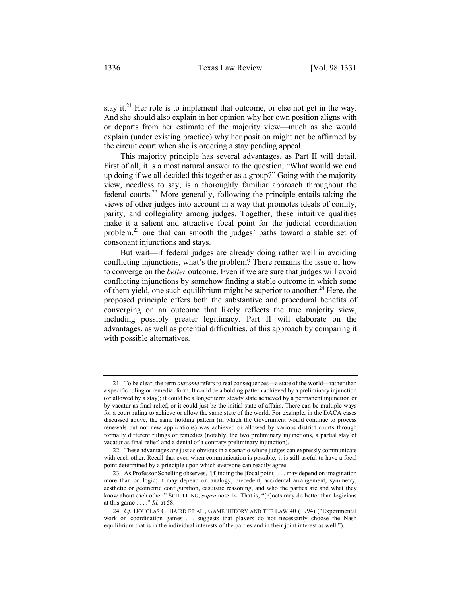stay it.<sup>21</sup> Her role is to implement that outcome, or else not get in the way. And she should also explain in her opinion why her own position aligns with or departs from her estimate of the majority view—much as she would explain (under existing practice) why her position might not be affirmed by the circuit court when she is ordering a stay pending appeal.

This majority principle has several advantages, as Part II will detail. First of all, it is a most natural answer to the question, "What would we end up doing if we all decided this together as a group?" Going with the majority view, needless to say, is a thoroughly familiar approach throughout the federal courts.<sup>22</sup> More generally, following the principle entails taking the views of other judges into account in a way that promotes ideals of comity, parity, and collegiality among judges. Together, these intuitive qualities make it a salient and attractive focal point for the judicial coordination problem,<sup>23</sup> one that can smooth the judges' paths toward a stable set of consonant injunctions and stays.

But wait—if federal judges are already doing rather well in avoiding conflicting injunctions, what's the problem? There remains the issue of how to converge on the *better* outcome. Even if we are sure that judges will avoid conflicting injunctions by somehow finding a stable outcome in which some of them yield, one such equilibrium might be superior to another.<sup>24</sup> Here, the proposed principle offers both the substantive and procedural benefits of converging on an outcome that likely reflects the true majority view, including possibly greater legitimacy. Part II will elaborate on the advantages, as well as potential difficulties, of this approach by comparing it with possible alternatives.

<sup>21.</sup> To be clear, the term *outcome* refers to real consequences—a state of the world—rather than a specific ruling or remedial form. It could be a holding pattern achieved by a preliminary injunction (or allowed by a stay); it could be a longer term steady state achieved by a permanent injunction or by vacatur as final relief; or it could just be the initial state of affairs. There can be multiple ways for a court ruling to achieve or allow the same state of the world. For example, in the DACA cases discussed above, the same holding pattern (in which the Government would continue to process renewals but not new applications) was achieved or allowed by various district courts through formally different rulings or remedies (notably, the two preliminary injunctions, a partial stay of vacatur as final relief, and a denial of a contrary preliminary injunction).

<sup>22.</sup> These advantages are just as obvious in a scenario where judges can expressly communicate with each other. Recall that even when communication is possible, it is still useful to have a focal point determined by a principle upon which everyone can readily agree.

<sup>23.</sup> As Professor Schelling observes, "[f]inding the [focal point] . . . may depend on imagination more than on logic; it may depend on analogy, precedent, accidental arrangement, symmetry, aesthetic or geometric configuration, casuistic reasoning, and who the parties are and what they know about each other." SCHELLING, *supra* note 14. That is, "[p]oets may do better than logicians at this game . . . ." *Id.* at 58.

<sup>24.</sup> *Cf.* DOUGLAS G. BAIRD ET AL., GAME THEORY AND THE LAW 40 (1994) ("Experimental work on coordination games . . . suggests that players do not necessarily choose the Nash equilibrium that is in the individual interests of the parties and in their joint interest as well.").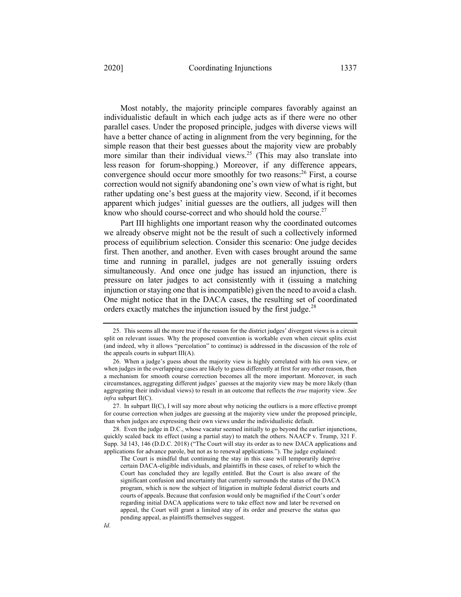Most notably, the majority principle compares favorably against an individualistic default in which each judge acts as if there were no other parallel cases. Under the proposed principle, judges with diverse views will have a better chance of acting in alignment from the very beginning, for the simple reason that their best guesses about the majority view are probably more similar than their individual views.<sup>25</sup> (This may also translate into less reason for forum-shopping.) Moreover, if any difference appears, convergence should occur more smoothly for two reasons:<sup>26</sup> First, a course correction would not signify abandoning one's own view of what is right, but rather updating one's best guess at the majority view. Second, if it becomes apparent which judges' initial guesses are the outliers, all judges will then know who should course-correct and who should hold the course.<sup>27</sup>

Part III highlights one important reason why the coordinated outcomes we already observe might not be the result of such a collectively informed process of equilibrium selection. Consider this scenario: One judge decides first. Then another, and another. Even with cases brought around the same time and running in parallel, judges are not generally issuing orders simultaneously. And once one judge has issued an injunction, there is pressure on later judges to act consistently with it (issuing a matching injunction or staying one that is incompatible) given the need to avoid a clash. One might notice that in the DACA cases, the resulting set of coordinated orders exactly matches the injunction issued by the first judge.<sup>28</sup>

<sup>25.</sup> This seems all the more true if the reason for the district judges' divergent views is a circuit split on relevant issues. Why the proposed convention is workable even when circuit splits exist (and indeed, why it allows "percolation" to continue) is addressed in the discussion of the role of the appeals courts in subpart III(A).

<sup>26.</sup> When a judge's guess about the majority view is highly correlated with his own view, or when judges in the overlapping cases are likely to guess differently at first for any other reason, then a mechanism for smooth course correction becomes all the more important. Moreover, in such circumstances, aggregating different judges' guesses at the majority view may be more likely (than aggregating their individual views) to result in an outcome that reflects the *true* majority view. *See infra* subpart II(C).

<sup>27.</sup> In subpart II(C), I will say more about why noticing the outliers is a more effective prompt for course correction when judges are guessing at the majority view under the proposed principle, than when judges are expressing their own views under the individualistic default.

<sup>28.</sup> Even the judge in D.C., whose vacatur seemed initially to go beyond the earlier injunctions, quickly scaled back its effect (using a partial stay) to match the others. NAACP v. Trump, 321 F. Supp. 3d 143, 146 (D.D.C. 2018) ("The Court will stay its order as to new DACA applications and applications for advance parole, but not as to renewal applications."). The judge explained:

The Court is mindful that continuing the stay in this case will temporarily deprive certain DACA-eligible individuals, and plaintiffs in these cases, of relief to which the Court has concluded they are legally entitled. But the Court is also aware of the significant confusion and uncertainty that currently surrounds the status of the DACA program, which is now the subject of litigation in multiple federal district courts and courts of appeals. Because that confusion would only be magnified if the Court's order regarding initial DACA applications were to take effect now and later be reversed on appeal, the Court will grant a limited stay of its order and preserve the status quo pending appeal, as plaintiffs themselves suggest.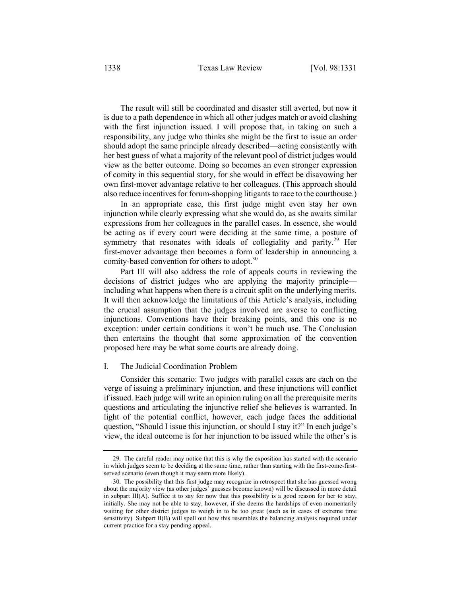The result will still be coordinated and disaster still averted, but now it is due to a path dependence in which all other judges match or avoid clashing with the first injunction issued. I will propose that, in taking on such a responsibility, any judge who thinks she might be the first to issue an order should adopt the same principle already described—acting consistently with her best guess of what a majority of the relevant pool of district judges would view as the better outcome. Doing so becomes an even stronger expression of comity in this sequential story, for she would in effect be disavowing her own first-mover advantage relative to her colleagues. (This approach should also reduce incentives for forum-shopping litigants to race to the courthouse.)

In an appropriate case, this first judge might even stay her own injunction while clearly expressing what she would do, as she awaits similar expressions from her colleagues in the parallel cases. In essence, she would be acting as if every court were deciding at the same time, a posture of symmetry that resonates with ideals of collegiality and parity.<sup>29</sup> Her first-mover advantage then becomes a form of leadership in announcing a comity-based convention for others to adopt.<sup>30</sup>

Part III will also address the role of appeals courts in reviewing the decisions of district judges who are applying the majority principle including what happens when there is a circuit split on the underlying merits. It will then acknowledge the limitations of this Article's analysis, including the crucial assumption that the judges involved are averse to conflicting injunctions. Conventions have their breaking points, and this one is no exception: under certain conditions it won't be much use. The Conclusion then entertains the thought that some approximation of the convention proposed here may be what some courts are already doing.

#### I. The Judicial Coordination Problem

Consider this scenario: Two judges with parallel cases are each on the verge of issuing a preliminary injunction, and these injunctions will conflict if issued. Each judge will write an opinion ruling on all the prerequisite merits questions and articulating the injunctive relief she believes is warranted. In light of the potential conflict, however, each judge faces the additional question, "Should I issue this injunction, or should I stay it?" In each judge's view, the ideal outcome is for her injunction to be issued while the other's is

<sup>29.</sup> The careful reader may notice that this is why the exposition has started with the scenario in which judges seem to be deciding at the same time, rather than starting with the first-come-firstserved scenario (even though it may seem more likely).

<sup>30.</sup> The possibility that this first judge may recognize in retrospect that she has guessed wrong about the majority view (as other judges' guesses become known) will be discussed in more detail in subpart III(A). Suffice it to say for now that this possibility is a good reason for her to stay, initially. She may not be able to stay, however, if she deems the hardships of even momentarily waiting for other district judges to weigh in to be too great (such as in cases of extreme time sensitivity). Subpart II(B) will spell out how this resembles the balancing analysis required under current practice for a stay pending appeal.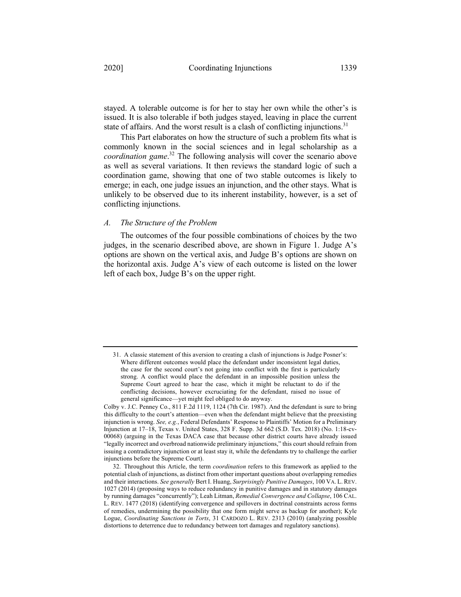stayed. A tolerable outcome is for her to stay her own while the other's is issued. It is also tolerable if both judges stayed, leaving in place the current state of affairs. And the worst result is a clash of conflicting injunctions.<sup>31</sup>

This Part elaborates on how the structure of such a problem fits what is commonly known in the social sciences and in legal scholarship as a *coordination game*. <sup>32</sup> The following analysis will cover the scenario above as well as several variations. It then reviews the standard logic of such a coordination game, showing that one of two stable outcomes is likely to emerge; in each, one judge issues an injunction, and the other stays. What is unlikely to be observed due to its inherent instability, however, is a set of conflicting injunctions.

#### *A. The Structure of the Problem*

The outcomes of the four possible combinations of choices by the two judges, in the scenario described above, are shown in Figure 1. Judge A's options are shown on the vertical axis, and Judge B's options are shown on the horizontal axis. Judge A's view of each outcome is listed on the lower left of each box, Judge B's on the upper right.

<sup>31.</sup> A classic statement of this aversion to creating a clash of injunctions is Judge Posner's: Where different outcomes would place the defendant under inconsistent legal duties, the case for the second court's not going into conflict with the first is particularly strong. A conflict would place the defendant in an impossible position unless the Supreme Court agreed to hear the case, which it might be reluctant to do if the conflicting decisions, however excruciating for the defendant, raised no issue of general significance—yet might feel obliged to do anyway.

Colby v. J.C. Penney Co., 811 F.2d 1119, 1124 (7th Cir. 1987). And the defendant is sure to bring this difficulty to the court's attention—even when the defendant might believe that the preexisting injunction is wrong. *See, e.g.*, Federal Defendants' Response to Plaintiffs' Motion for a Preliminary Injunction at 17–18, Texas v. United States, 328 F. Supp. 3d 662 (S.D. Tex. 2018) (No. 1:18-cv-00068) (arguing in the Texas DACA case that because other district courts have already issued "legally incorrect and overbroad nationwide preliminary injunctions," this court should refrain from issuing a contradictory injunction or at least stay it, while the defendants try to challenge the earlier injunctions before the Supreme Court).

<sup>32.</sup> Throughout this Article, the term *coordination* refers to this framework as applied to the potential clash of injunctions, as distinct from other important questions about overlapping remedies and their interactions. *See generally* Bert I. Huang, *Surprisingly Punitive Damages*, 100 VA. L. REV. 1027 (2014) (proposing ways to reduce redundancy in punitive damages and in statutory damages by running damages "concurrently"); Leah Litman, *Remedial Convergence and Collapse*, 106 CAL. L. REV. 1477 (2018) (identifying convergence and spillovers in doctrinal constraints across forms of remedies, undermining the possibility that one form might serve as backup for another); Kyle Logue, *Coordinating Sanctions in Torts*, 31 CARDOZO L. REV. 2313 (2010) (analyzing possible distortions to deterrence due to redundancy between tort damages and regulatory sanctions).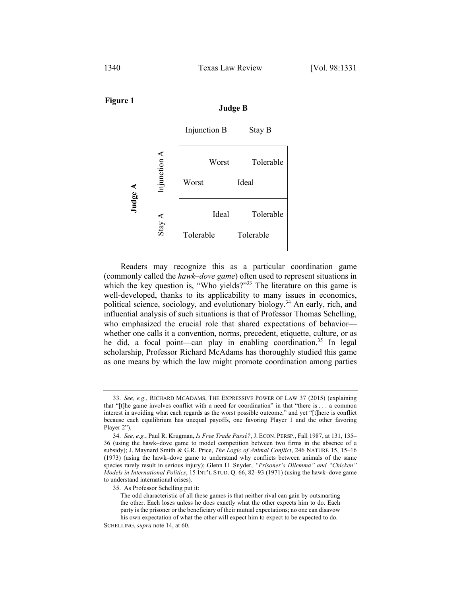**Figure 1**

**Judge B**



Readers may recognize this as a particular coordination game (commonly called the *hawk–dove game*) often used to represent situations in which the key question is, "Who yields?"<sup>33</sup> The literature on this game is well-developed, thanks to its applicability to many issues in economics, political science, sociology, and evolutionary biology.34 An early, rich, and influential analysis of such situations is that of Professor Thomas Schelling, who emphasized the crucial role that shared expectations of behavior whether one calls it a convention, norms, precedent, etiquette, culture, or as he did, a focal point—can play in enabling coordination.<sup>35</sup> In legal scholarship, Professor Richard McAdams has thoroughly studied this game as one means by which the law might promote coordination among parties

<sup>33.</sup> *See, e.g.*, RICHARD MCADAMS, THE EXPRESSIVE POWER OF LAW 37 (2015) (explaining that "[t]he game involves conflict with a need for coordination" in that "there is . . . a common interest in avoiding what each regards as the worst possible outcome," and yet "[t]here is conflict because each equilibrium has unequal payoffs, one favoring Player 1 and the other favoring Player 2").

<sup>34.</sup> *See, e.g.*, Paul R. Krugman, *Is Free Trade Passé?*, J. ECON. PERSP., Fall 1987, at 131, 135– 36 (using the hawk–dove game to model competition between two firms in the absence of a subsidy); J. Maynard Smith & G.R. Price, *The Logic of Animal Conflict*, 246 NATURE 15, 15–16 (1973) (using the hawk–dove game to understand why conflicts between animals of the same species rarely result in serious injury); Glenn H. Snyder, *"Prisoner's Dilemma" and "Chicken" Models in International Politics*, 15 INT'L STUD. Q. 66, 82–93 (1971) (using the hawk–dove game to understand international crises).

<sup>35.</sup> As Professor Schelling put it:

The odd characteristic of all these games is that neither rival can gain by outsmarting the other. Each loses unless he does exactly what the other expects him to do. Each party is the prisoner or the beneficiary of their mutual expectations; no one can disavow his own expectation of what the other will expect him to expect to be expected to do.

SCHELLING, *supra* note 14, at 60.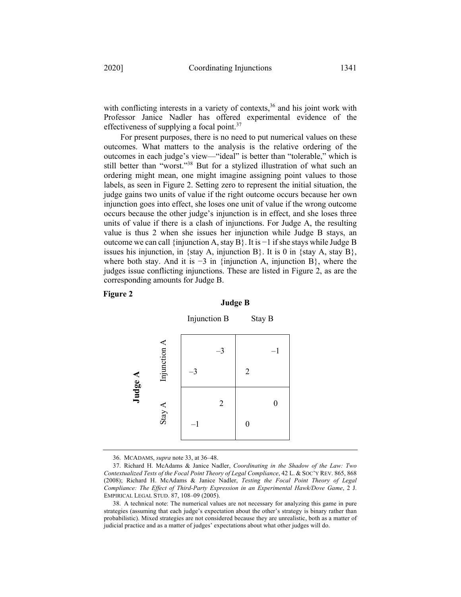with conflicting interests in a variety of contexts,<sup>36</sup> and his joint work with Professor Janice Nadler has offered experimental evidence of the effectiveness of supplying a focal point.<sup>37</sup>

For present purposes, there is no need to put numerical values on these outcomes. What matters to the analysis is the relative ordering of the outcomes in each judge's view—"ideal" is better than "tolerable," which is still better than "worst."38 But for a stylized illustration of what such an ordering might mean, one might imagine assigning point values to those labels, as seen in Figure 2. Setting zero to represent the initial situation, the judge gains two units of value if the right outcome occurs because her own injunction goes into effect, she loses one unit of value if the wrong outcome occurs because the other judge's injunction is in effect, and she loses three units of value if there is a clash of injunctions. For Judge A, the resulting value is thus 2 when she issues her injunction while Judge B stays, an outcome we can call {injunction A, stay B}. It is −1 if she stays while Judge B issues his injunction, in {stay A, injunction B}. It is 0 in {stay A, stay B}, where both stay. And it is  $-3$  in {injunction A, injunction B}, where the judges issue conflicting injunctions. These are listed in Figure 2, as are the corresponding amounts for Judge B.

#### **Figure 2**

#### **Judge B**



36. MCADAMS, *supra* note 33, at 36–48.

<sup>37.</sup> Richard H. McAdams & Janice Nadler, *Coordinating in the Shadow of the Law: Two Contextualized Tests of the Focal Point Theory of Legal Compliance*, 42 L. & SOC'Y REV. 865, 868 (2008); Richard H. McAdams & Janice Nadler, *Testing the Focal Point Theory of Legal Compliance: The Effect of Third-Party Expression in an Experimental Hawk/Dove Game*, 2 J. EMPIRICAL LEGAL STUD. 87, 108–09 (2005).

<sup>38.</sup> A technical note: The numerical values are not necessary for analyzing this game in pure strategies (assuming that each judge's expectation about the other's strategy is binary rather than probabilistic). Mixed strategies are not considered because they are unrealistic, both as a matter of judicial practice and as a matter of judges' expectations about what other judges will do.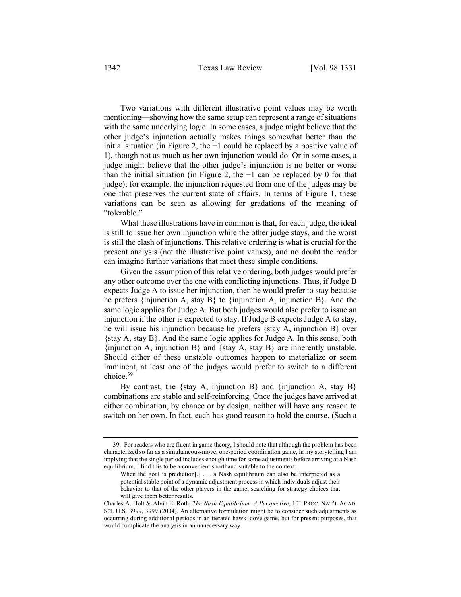Two variations with different illustrative point values may be worth mentioning—showing how the same setup can represent a range of situations with the same underlying logic. In some cases, a judge might believe that the other judge's injunction actually makes things somewhat better than the initial situation (in Figure 2, the −1 could be replaced by a positive value of 1), though not as much as her own injunction would do. Or in some cases, a judge might believe that the other judge's injunction is no better or worse than the initial situation (in Figure 2, the  $-1$  can be replaced by 0 for that judge); for example, the injunction requested from one of the judges may be one that preserves the current state of affairs. In terms of Figure 1, these variations can be seen as allowing for gradations of the meaning of "tolerable."

What these illustrations have in common is that, for each judge, the ideal is still to issue her own injunction while the other judge stays, and the worst is still the clash of injunctions. This relative ordering is what is crucial for the present analysis (not the illustrative point values), and no doubt the reader can imagine further variations that meet these simple conditions.

Given the assumption of this relative ordering, both judges would prefer any other outcome over the one with conflicting injunctions. Thus, if Judge B expects Judge A to issue her injunction, then he would prefer to stay because he prefers {injunction A, stay B} to {injunction A, injunction B}. And the same logic applies for Judge A. But both judges would also prefer to issue an injunction if the other is expected to stay. If Judge B expects Judge A to stay, he will issue his injunction because he prefers {stay A, injunction B} over {stay A, stay B}. And the same logic applies for Judge A. In this sense, both {injunction A, injunction B} and {stay A, stay B} are inherently unstable. Should either of these unstable outcomes happen to materialize or seem imminent, at least one of the judges would prefer to switch to a different choice.39

By contrast, the {stay A, injunction B} and {injunction A, stay B} combinations are stable and self-reinforcing. Once the judges have arrived at either combination, by chance or by design, neither will have any reason to switch on her own. In fact, each has good reason to hold the course. (Such a

<sup>39.</sup> For readers who are fluent in game theory, I should note that although the problem has been characterized so far as a simultaneous-move, one-period coordination game, in my storytelling I am implying that the single period includes enough time for some adjustments before arriving at a Nash equilibrium. I find this to be a convenient shorthand suitable to the context:

When the goal is prediction<sup>[1]</sup> ... a Nash equilibrium can also be interpreted as a potential stable point of a dynamic adjustment process in which individuals adjust their behavior to that of the other players in the game, searching for strategy choices that will give them better results.

Charles A. Holt & Alvin E. Roth, *The Nash Equilibrium: A Perspective*, 101 PROC. NAT'L ACAD. SCI. U.S. 3999, 3999 (2004). An alternative formulation might be to consider such adjustments as occurring during additional periods in an iterated hawk–dove game, but for present purposes, that would complicate the analysis in an unnecessary way.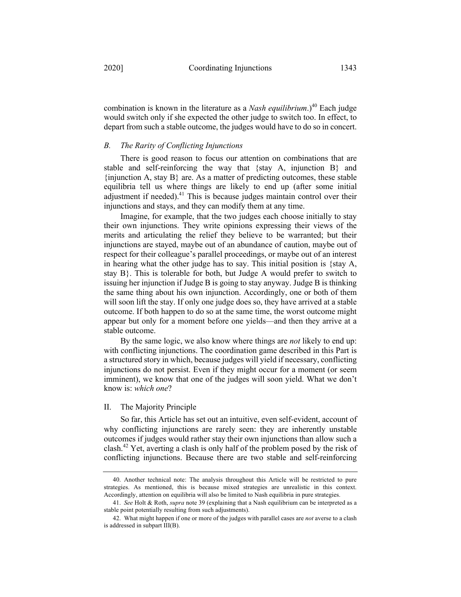combination is known in the literature as a *Nash equilibrium*.)<sup>40</sup> Each judge would switch only if she expected the other judge to switch too. In effect, to depart from such a stable outcome, the judges would have to do so in concert.

#### *B. The Rarity of Conflicting Injunctions*

There is good reason to focus our attention on combinations that are stable and self-reinforcing the way that {stay A, injunction B} and  $\{$ injunction A, stay B $\}$  are. As a matter of predicting outcomes, these stable equilibria tell us where things are likely to end up (after some initial adjustment if needed).<sup>41</sup> This is because judges maintain control over their injunctions and stays, and they can modify them at any time.

Imagine, for example, that the two judges each choose initially to stay their own injunctions. They write opinions expressing their views of the merits and articulating the relief they believe to be warranted; but their injunctions are stayed, maybe out of an abundance of caution, maybe out of respect for their colleague's parallel proceedings, or maybe out of an interest in hearing what the other judge has to say. This initial position is {stay A, stay B}. This is tolerable for both, but Judge A would prefer to switch to issuing her injunction if Judge B is going to stay anyway. Judge B is thinking the same thing about his own injunction. Accordingly, one or both of them will soon lift the stay. If only one judge does so, they have arrived at a stable outcome. If both happen to do so at the same time, the worst outcome might appear but only for a moment before one yields—and then they arrive at a stable outcome.

By the same logic, we also know where things are *not* likely to end up: with conflicting injunctions. The coordination game described in this Part is a structured story in which, because judges will yield if necessary, conflicting injunctions do not persist. Even if they might occur for a moment (or seem imminent), we know that one of the judges will soon yield. What we don't know is: *which one*?

#### II. The Majority Principle

So far, this Article has set out an intuitive, even self-evident, account of why conflicting injunctions are rarely seen: they are inherently unstable outcomes if judges would rather stay their own injunctions than allow such a clash.<sup>42</sup> Yet, averting a clash is only half of the problem posed by the risk of conflicting injunctions. Because there are two stable and self-reinforcing

<sup>40.</sup> Another technical note: The analysis throughout this Article will be restricted to pure strategies. As mentioned, this is because mixed strategies are unrealistic in this context. Accordingly, attention on equilibria will also be limited to Nash equilibria in pure strategies.

<sup>41.</sup> *See* Holt & Roth, *supra* note 39 (explaining that a Nash equilibrium can be interpreted as a stable point potentially resulting from such adjustments).

<sup>42.</sup> What might happen if one or more of the judges with parallel cases are *not* averse to a clash is addressed in subpart III(B).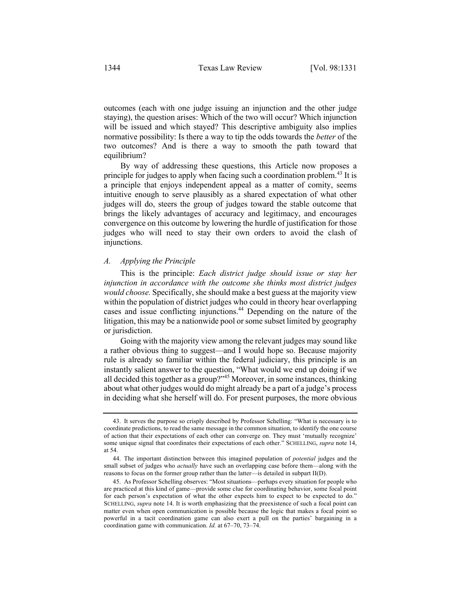outcomes (each with one judge issuing an injunction and the other judge staying), the question arises: Which of the two will occur? Which injunction will be issued and which stayed? This descriptive ambiguity also implies normative possibility: Is there a way to tip the odds towards the *better* of the two outcomes? And is there a way to smooth the path toward that equilibrium?

By way of addressing these questions, this Article now proposes a principle for judges to apply when facing such a coordination problem.<sup>43</sup> It is a principle that enjoys independent appeal as a matter of comity, seems intuitive enough to serve plausibly as a shared expectation of what other judges will do, steers the group of judges toward the stable outcome that brings the likely advantages of accuracy and legitimacy, and encourages convergence on this outcome by lowering the hurdle of justification for those judges who will need to stay their own orders to avoid the clash of injunctions.

#### *A. Applying the Principle*

This is the principle: *Each district judge should issue or stay her injunction in accordance with the outcome she thinks most district judges would choose.* Specifically, she should make a best guess at the majority view within the population of district judges who could in theory hear overlapping cases and issue conflicting injunctions. <sup>44</sup> Depending on the nature of the litigation, this may be a nationwide pool or some subset limited by geography or jurisdiction.

Going with the majority view among the relevant judges may sound like a rather obvious thing to suggest—and I would hope so. Because majority rule is already so familiar within the federal judiciary, this principle is an instantly salient answer to the question, "What would we end up doing if we all decided this together as a group?"<sup>45</sup> Moreover, in some instances, thinking about what other judges would do might already be a part of a judge's process in deciding what she herself will do. For present purposes, the more obvious

<sup>43.</sup> It serves the purpose so crisply described by Professor Schelling: "What is necessary is to coordinate predictions, to read the same message in the common situation, to identify the one course of action that their expectations of each other can converge on. They must 'mutually recognize' some unique signal that coordinates their expectations of each other." SCHELLING, *supra* note 14, at 54.

<sup>44.</sup> The important distinction between this imagined population of *potential* judges and the small subset of judges who *actually* have such an overlapping case before them—along with the reasons to focus on the former group rather than the latter—is detailed in subpart II(D).

<sup>45.</sup> As Professor Schelling observes: "Most situations—perhaps every situation for people who are practiced at this kind of game—provide some clue for coordinating behavior, some focal point for each person's expectation of what the other expects him to expect to be expected to do." SCHELLING, *supra* note 14. It is worth emphasizing that the preexistence of such a focal point can matter even when open communication is possible because the logic that makes a focal point so powerful in a tacit coordination game can also exert a pull on the parties' bargaining in a coordination game with communication. *Id.* at 67–70, 73–74.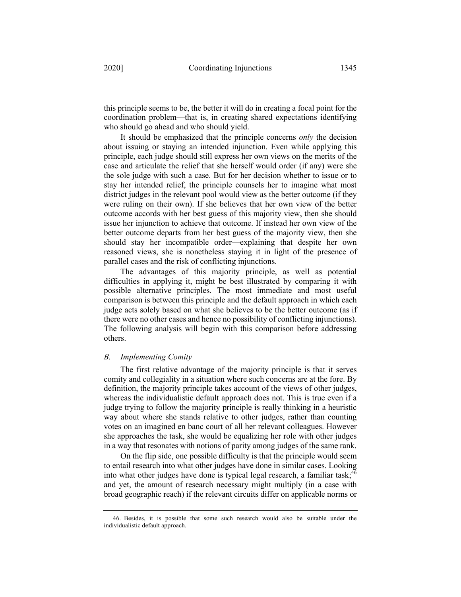this principle seems to be, the better it will do in creating a focal point for the coordination problem—that is, in creating shared expectations identifying who should go ahead and who should yield.

It should be emphasized that the principle concerns *only* the decision about issuing or staying an intended injunction. Even while applying this principle, each judge should still express her own views on the merits of the case and articulate the relief that she herself would order (if any) were she the sole judge with such a case. But for her decision whether to issue or to stay her intended relief, the principle counsels her to imagine what most district judges in the relevant pool would view as the better outcome (if they were ruling on their own). If she believes that her own view of the better outcome accords with her best guess of this majority view, then she should issue her injunction to achieve that outcome. If instead her own view of the better outcome departs from her best guess of the majority view, then she should stay her incompatible order—explaining that despite her own reasoned views, she is nonetheless staying it in light of the presence of parallel cases and the risk of conflicting injunctions.

The advantages of this majority principle, as well as potential difficulties in applying it, might be best illustrated by comparing it with possible alternative principles. The most immediate and most useful comparison is between this principle and the default approach in which each judge acts solely based on what she believes to be the better outcome (as if there were no other cases and hence no possibility of conflicting injunctions). The following analysis will begin with this comparison before addressing others.

#### *B. Implementing Comity*

The first relative advantage of the majority principle is that it serves comity and collegiality in a situation where such concerns are at the fore. By definition, the majority principle takes account of the views of other judges, whereas the individualistic default approach does not. This is true even if a judge trying to follow the majority principle is really thinking in a heuristic way about where she stands relative to other judges, rather than counting votes on an imagined en banc court of all her relevant colleagues. However she approaches the task, she would be equalizing her role with other judges in a way that resonates with notions of parity among judges of the same rank.

On the flip side, one possible difficulty is that the principle would seem to entail research into what other judges have done in similar cases. Looking into what other judges have done is typical legal research, a familiar task;<sup>46</sup> and yet, the amount of research necessary might multiply (in a case with broad geographic reach) if the relevant circuits differ on applicable norms or

<sup>46.</sup> Besides, it is possible that some such research would also be suitable under the individualistic default approach.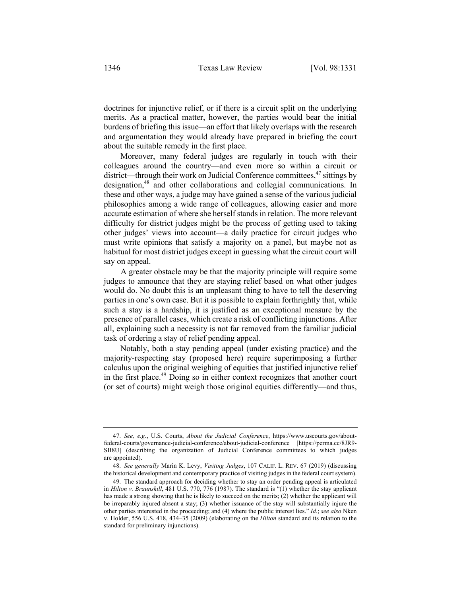doctrines for injunctive relief, or if there is a circuit split on the underlying merits. As a practical matter, however, the parties would bear the initial burdens of briefing this issue—an effort that likely overlaps with the research and argumentation they would already have prepared in briefing the court about the suitable remedy in the first place.

Moreover, many federal judges are regularly in touch with their colleagues around the country—and even more so within a circuit or district—through their work on Judicial Conference committees,  $47$  sittings by designation,<sup>48</sup> and other collaborations and collegial communications. In these and other ways, a judge may have gained a sense of the various judicial philosophies among a wide range of colleagues, allowing easier and more accurate estimation of where she herself stands in relation. The more relevant difficulty for district judges might be the process of getting used to taking other judges' views into account—a daily practice for circuit judges who must write opinions that satisfy a majority on a panel, but maybe not as habitual for most district judges except in guessing what the circuit court will say on appeal.

A greater obstacle may be that the majority principle will require some judges to announce that they are staying relief based on what other judges would do. No doubt this is an unpleasant thing to have to tell the deserving parties in one's own case. But it is possible to explain forthrightly that, while such a stay is a hardship, it is justified as an exceptional measure by the presence of parallel cases, which create a risk of conflicting injunctions. After all, explaining such a necessity is not far removed from the familiar judicial task of ordering a stay of relief pending appeal.

Notably, both a stay pending appeal (under existing practice) and the majority-respecting stay (proposed here) require superimposing a further calculus upon the original weighing of equities that justified injunctive relief in the first place.<sup>49</sup> Doing so in either context recognizes that another court (or set of courts) might weigh those original equities differently—and thus,

<sup>47.</sup> *See, e.g.*, U.S. Courts, *About the Judicial Conference*, https://www.uscourts.gov/aboutfederal-courts/governance-judicial-conference/about-judicial-conference [https://perma.cc/8JR9- SB8U] (describing the organization of Judicial Conference committees to which judges are appointed).

<sup>48.</sup> *See generally* Marin K. Levy, *Visiting Judges*, 107 CALIF. L. REV. 67 (2019) (discussing the historical development and contemporary practice of visiting judges in the federal court system).

<sup>49.</sup> The standard approach for deciding whether to stay an order pending appeal is articulated in *Hilton v. Braunskill*, 481 U.S. 770, 776 (1987). The standard is "(1) whether the stay applicant has made a strong showing that he is likely to succeed on the merits; (2) whether the applicant will be irreparably injured absent a stay; (3) whether issuance of the stay will substantially injure the other parties interested in the proceeding; and (4) where the public interest lies." *Id.*; *see also* Nken v. Holder, 556 U.S. 418, 434–35 (2009) (elaborating on the *Hilton* standard and its relation to the standard for preliminary injunctions).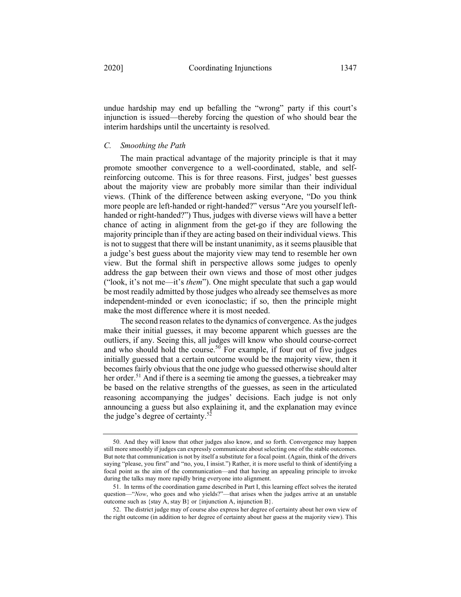undue hardship may end up befalling the "wrong" party if this court's injunction is issued—thereby forcing the question of who should bear the

#### *C. Smoothing the Path*

interim hardships until the uncertainty is resolved.

The main practical advantage of the majority principle is that it may promote smoother convergence to a well-coordinated, stable, and selfreinforcing outcome. This is for three reasons. First, judges' best guesses about the majority view are probably more similar than their individual views. (Think of the difference between asking everyone, "Do you think more people are left-handed or right-handed?" versus "Are you yourself lefthanded or right-handed?") Thus, judges with diverse views will have a better chance of acting in alignment from the get-go if they are following the majority principle than if they are acting based on their individual views. This is not to suggest that there will be instant unanimity, as it seems plausible that a judge's best guess about the majority view may tend to resemble her own view. But the formal shift in perspective allows some judges to openly address the gap between their own views and those of most other judges ("look, it's not me—it's *them*"). One might speculate that such a gap would be most readily admitted by those judges who already see themselves as more independent-minded or even iconoclastic; if so, then the principle might make the most difference where it is most needed.

The second reason relates to the dynamics of convergence. As the judges make their initial guesses, it may become apparent which guesses are the outliers, if any. Seeing this, all judges will know who should course-correct and who should hold the course.<sup>50</sup> For example, if four out of five judges initially guessed that a certain outcome would be the majority view, then it becomes fairly obvious that the one judge who guessed otherwise should alter her order.<sup>51</sup> And if there is a seeming tie among the guesses, a tiebreaker may be based on the relative strengths of the guesses, as seen in the articulated reasoning accompanying the judges' decisions. Each judge is not only announcing a guess but also explaining it, and the explanation may evince the judge's degree of certainty.<sup>52</sup>

<sup>50.</sup> And they will know that other judges also know, and so forth. Convergence may happen still more smoothly if judges can expressly communicate about selecting one of the stable outcomes. But note that communication is not by itself a substitute for a focal point. (Again, think of the drivers saying "please, you first" and "no, you, I insist.") Rather, it is more useful to think of identifying a focal point as the aim of the communication—and that having an appealing principle to invoke during the talks may more rapidly bring everyone into alignment.

<sup>51.</sup> In terms of the coordination game described in Part I, this learning effect solves the iterated question—"*Now*, who goes and who yields?"—that arises when the judges arrive at an unstable outcome such as {stay A, stay B} or {injunction A, injunction B}.

<sup>52.</sup> The district judge may of course also express her degree of certainty about her own view of the right outcome (in addition to her degree of certainty about her guess at the majority view). This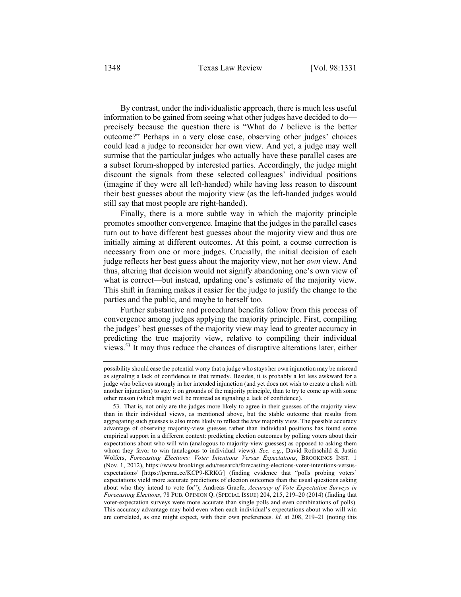By contrast, under the individualistic approach, there is much less useful information to be gained from seeing what other judges have decided to do precisely because the question there is "What do *I* believe is the better outcome?" Perhaps in a very close case, observing other judges' choices could lead a judge to reconsider her own view. And yet, a judge may well surmise that the particular judges who actually have these parallel cases are a subset forum-shopped by interested parties. Accordingly, the judge might discount the signals from these selected colleagues' individual positions (imagine if they were all left-handed) while having less reason to discount their best guesses about the majority view (as the left-handed judges would still say that most people are right-handed).

Finally, there is a more subtle way in which the majority principle promotes smoother convergence. Imagine that the judges in the parallel cases turn out to have different best guesses about the majority view and thus are initially aiming at different outcomes. At this point, a course correction is necessary from one or more judges. Crucially, the initial decision of each judge reflects her best guess about the majority view, not her *own* view. And thus, altering that decision would not signify abandoning one's own view of what is correct—but instead, updating one's estimate of the majority view. This shift in framing makes it easier for the judge to justify the change to the parties and the public, and maybe to herself too.

Further substantive and procedural benefits follow from this process of convergence among judges applying the majority principle. First, compiling the judges' best guesses of the majority view may lead to greater accuracy in predicting the true majority view, relative to compiling their individual views. <sup>53</sup> It may thus reduce the chances of disruptive alterations later, either

possibility should ease the potential worry that a judge who stays her own injunction may be misread as signaling a lack of confidence in that remedy. Besides, it is probably a lot less awkward for a judge who believes strongly in her intended injunction (and yet does not wish to create a clash with another injunction) to stay it on grounds of the majority principle, than to try to come up with some other reason (which might well be misread as signaling a lack of confidence).

<sup>53.</sup> That is, not only are the judges more likely to agree in their guesses of the majority view than in their individual views, as mentioned above, but the stable outcome that results from aggregating such guesses is also more likely to reflect the *true* majority view. The possible accuracy advantage of observing majority-view guesses rather than individual positions has found some empirical support in a different context: predicting election outcomes by polling voters about their expectations about who will win (analogous to majority-view guesses) as opposed to asking them whom they favor to win (analogous to individual views). *See, e.g.*, David Rothschild & Justin Wolfers, *Forecasting Elections: Voter Intentions Versus Expectations*, BROOKINGS INST. 1 (Nov. 1, 2012), https://www.brookings.edu/research/forecasting-elections-voter-intentions-versusexpectations/ [https://perma.cc/KCP9-KRKG] (finding evidence that "polls probing voters' expectations yield more accurate predictions of election outcomes than the usual questions asking about who they intend to vote for"); Andreas Graefe, *Accuracy of Vote Expectation Surveys in Forecasting Elections*, 78 PUB. OPINION Q. (SPECIAL ISSUE) 204, 215, 219–20 (2014) (finding that voter-expectation surveys were more accurate than single polls and even combinations of polls). This accuracy advantage may hold even when each individual's expectations about who will win are correlated, as one might expect, with their own preferences. *Id.* at 208, 219–21 (noting this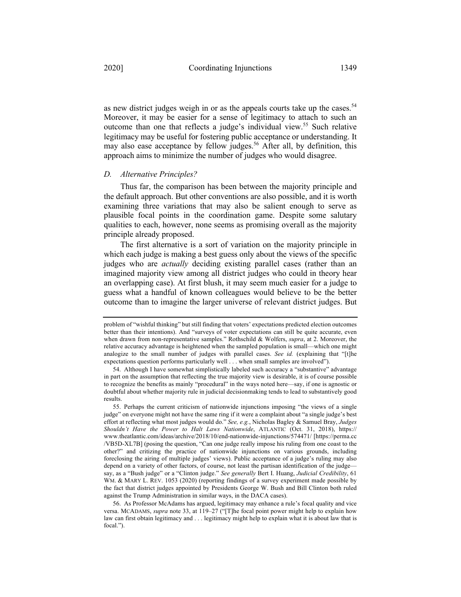as new district judges weigh in or as the appeals courts take up the cases.<sup>54</sup> Moreover, it may be easier for a sense of legitimacy to attach to such an outcome than one that reflects a judge's individual view.<sup>55</sup> Such relative legitimacy may be useful for fostering public acceptance or understanding. It may also ease acceptance by fellow judges.<sup>56</sup> After all, by definition, this approach aims to minimize the number of judges who would disagree.

#### *D. Alternative Principles?*

Thus far, the comparison has been between the majority principle and the default approach. But other conventions are also possible, and it is worth examining three variations that may also be salient enough to serve as plausible focal points in the coordination game. Despite some salutary qualities to each, however, none seems as promising overall as the majority principle already proposed.

The first alternative is a sort of variation on the majority principle in which each judge is making a best guess only about the views of the specific judges who are *actually* deciding existing parallel cases (rather than an imagined majority view among all district judges who could in theory hear an overlapping case). At first blush, it may seem much easier for a judge to guess what a handful of known colleagues would believe to be the better outcome than to imagine the larger universe of relevant district judges. But

problem of "wishful thinking" but still finding that voters' expectations predicted election outcomes better than their intentions). And "surveys of voter expectations can still be quite accurate, even when drawn from non-representative samples." Rothschild & Wolfers, *supra*, at 2. Moreover, the relative accuracy advantage is heightened when the sampled population is small—which one might analogize to the small number of judges with parallel cases. *See id.* (explaining that "[t]he expectations question performs particularly well . . . when small samples are involved").

<sup>54.</sup> Although I have somewhat simplistically labeled such accuracy a "substantive" advantage in part on the assumption that reflecting the true majority view is desirable, it is of course possible to recognize the benefits as mainly "procedural" in the ways noted here—say, if one is agnostic or doubtful about whether majority rule in judicial decisionmaking tends to lead to substantively good results.

<sup>55.</sup> Perhaps the current criticism of nationwide injunctions imposing "the views of a single judge" on everyone might not have the same ring if it were a complaint about "a single judge's best effort at reflecting what most judges would do." *See, e.g.*, Nicholas Bagley & Samuel Bray, *Judges Shouldn't Have the Power to Halt Laws Nationwide*, ATLANTIC (Oct. 31, 2018), https:// www.theatlantic.com/ideas/archive/2018/10/end-nationwide-injunctions/574471/ [https://perma.cc /VB5D-XL7B] (posing the question, "Can one judge really impose his ruling from one coast to the other?" and critizing the practice of nationwide injunctions on various grounds, including foreclosing the airing of multiple judges' views). Public acceptance of a judge's ruling may also depend on a variety of other factors, of course, not least the partisan identification of the judge say, as a "Bush judge" or a "Clinton judge." *See generally* Bert I. Huang, *Judicial Credibility*, 61 WM. & MARY L. REV. 1053 (2020) (reporting findings of a survey experiment made possible by the fact that district judges appointed by Presidents George W. Bush and Bill Clinton both ruled against the Trump Administration in similar ways, in the DACA cases).

<sup>56.</sup> As Professor McAdams has argued, legitimacy may enhance a rule's focal quality and vice versa. MCADAMS, *supra* note 33, at 119–27 ("[T]he focal point power might help to explain how law can first obtain legitimacy and . . . legitimacy might help to explain what it is about law that is focal.").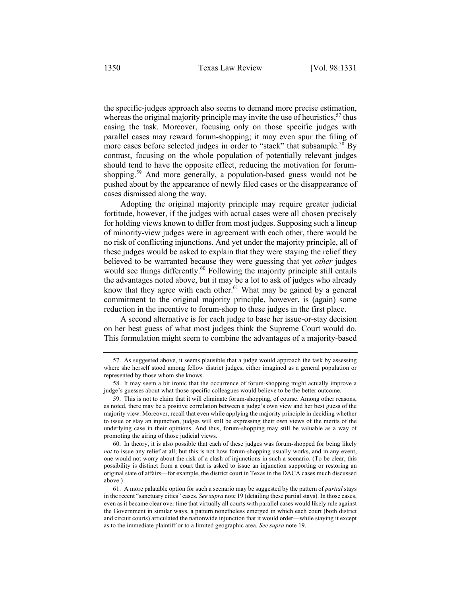the specific-judges approach also seems to demand more precise estimation, whereas the original majority principle may invite the use of heuristics,  $57$  thus easing the task. Moreover, focusing only on those specific judges with parallel cases may reward forum-shopping; it may even spur the filing of more cases before selected judges in order to "stack" that subsample.<sup>58</sup> By contrast, focusing on the whole population of potentially relevant judges should tend to have the opposite effect, reducing the motivation for forumshopping.<sup>59</sup> And more generally, a population-based guess would not be pushed about by the appearance of newly filed cases or the disappearance of cases dismissed along the way.

Adopting the original majority principle may require greater judicial fortitude, however, if the judges with actual cases were all chosen precisely for holding views known to differ from most judges. Supposing such a lineup of minority-view judges were in agreement with each other, there would be no risk of conflicting injunctions. And yet under the majority principle, all of these judges would be asked to explain that they were staying the relief they believed to be warranted because they were guessing that yet *other* judges would see things differently.<sup>60</sup> Following the majority principle still entails the advantages noted above, but it may be a lot to ask of judges who already know that they agree with each other. $61$  What may be gained by a general commitment to the original majority principle, however, is (again) some reduction in the incentive to forum-shop to these judges in the first place.

A second alternative is for each judge to base her issue-or-stay decision on her best guess of what most judges think the Supreme Court would do. This formulation might seem to combine the advantages of a majority-based

60. In theory, it is also possible that each of these judges was forum-shopped for being likely *not* to issue any relief at all; but this is not how forum-shopping usually works, and in any event, one would not worry about the risk of a clash of injunctions in such a scenario. (To be clear, this possibility is distinct from a court that is asked to issue an injunction supporting or restoring an original state of affairs—for example, the district court in Texas in the DACA cases much discussed above.)

<sup>57.</sup> As suggested above, it seems plausible that a judge would approach the task by assessing where she herself stood among fellow district judges, either imagined as a general population or represented by those whom she knows.

<sup>58.</sup> It may seem a bit ironic that the occurrence of forum-shopping might actually improve a judge's guesses about what those specific colleagues would believe to be the better outcome.

<sup>59.</sup> This is not to claim that it will eliminate forum-shopping, of course. Among other reasons, as noted, there may be a positive correlation between a judge's own view and her best guess of the majority view. Moreover, recall that even while applying the majority principle in deciding whether to issue or stay an injunction, judges will still be expressing their own views of the merits of the underlying case in their opinions. And thus, forum-shopping may still be valuable as a way of promoting the airing of those judicial views.

<sup>61.</sup> A more palatable option for such a scenario may be suggested by the pattern of *partial* stays in the recent "sanctuary cities" cases. *See supra* note 19 (detailing these partial stays). In those cases, even as it became clear over time that virtually all courts with parallel cases would likely rule against the Government in similar ways, a pattern nonetheless emerged in which each court (both district and circuit courts) articulated the nationwide injunction that it would order—while staying it except as to the immediate plaintiff or to a limited geographic area. *See supra* note 19.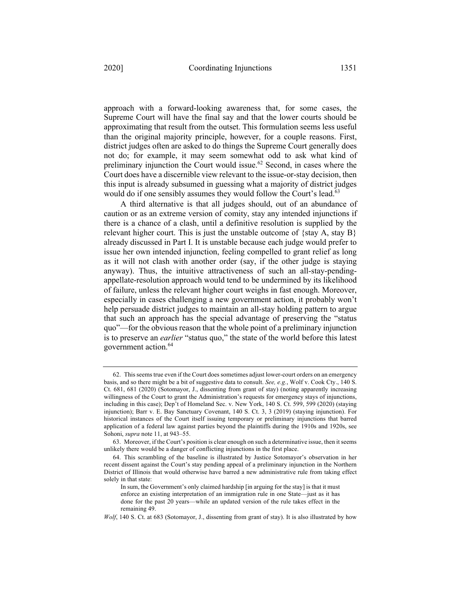approach with a forward-looking awareness that, for some cases, the Supreme Court will have the final say and that the lower courts should be approximating that result from the outset. This formulation seems less useful than the original majority principle, however, for a couple reasons. First, district judges often are asked to do things the Supreme Court generally does

not do; for example, it may seem somewhat odd to ask what kind of preliminary injunction the Court would issue. $62$  Second, in cases where the Court does have a discernible view relevant to the issue-or-stay decision, then this input is already subsumed in guessing what a majority of district judges would do if one sensibly assumes they would follow the Court's lead.<sup>63</sup>

A third alternative is that all judges should, out of an abundance of caution or as an extreme version of comity, stay any intended injunctions if there is a chance of a clash, until a definitive resolution is supplied by the relevant higher court. This is just the unstable outcome of  $\{stay A, stay B\}$ already discussed in Part I. It is unstable because each judge would prefer to issue her own intended injunction, feeling compelled to grant relief as long as it will not clash with another order (say, if the other judge is staying anyway). Thus, the intuitive attractiveness of such an all-stay-pendingappellate-resolution approach would tend to be undermined by its likelihood of failure, unless the relevant higher court weighs in fast enough. Moreover, especially in cases challenging a new government action, it probably won't help persuade district judges to maintain an all-stay holding pattern to argue that such an approach has the special advantage of preserving the "status quo"—for the obvious reason that the whole point of a preliminary injunction is to preserve an *earlier* "status quo," the state of the world before this latest government action. 64

<sup>62.</sup> This seems true even if the Court does sometimes adjust lower-court orders on an emergency basis, and so there might be a bit of suggestive data to consult. *See, e.g.*, Wolf v. Cook Cty., 140 S. Ct. 681, 681 (2020) (Sotomayor, J., dissenting from grant of stay) (noting apparently increasing willingness of the Court to grant the Administration's requests for emergency stays of injunctions, including in this case); Dep't of Homeland Sec. v. New York, 140 S. Ct. 599, 599 (2020) (staying injunction); Barr v. E. Bay Sanctuary Covenant, 140 S. Ct. 3, 3 (2019) (staying injunction). For historical instances of the Court itself issuing temporary or preliminary injunctions that barred application of a federal law against parties beyond the plaintiffs during the 1910s and 1920s, see Sohoni, *supra* note 11, at 943–55.

<sup>63.</sup> Moreover, if the Court's position is clear enough on such a determinative issue, then it seems unlikely there would be a danger of conflicting injunctions in the first place.

<sup>64.</sup> This scrambling of the baseline is illustrated by Justice Sotomayor's observation in her recent dissent against the Court's stay pending appeal of a preliminary injunction in the Northern District of Illinois that would otherwise have barred a new administrative rule from taking effect solely in that state:

In sum, the Government's only claimed hardship [in arguing for the stay] is that it must enforce an existing interpretation of an immigration rule in one State—just as it has done for the past 20 years—while an updated version of the rule takes effect in the remaining 49.

*Wolf*, 140 S. Ct. at 683 (Sotomayor, J., dissenting from grant of stay). It is also illustrated by how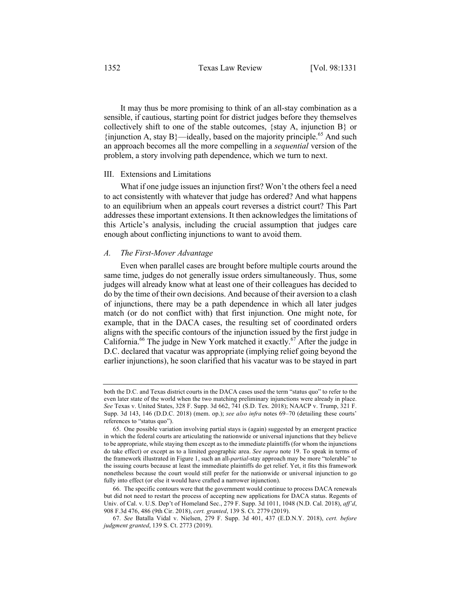It may thus be more promising to think of an all-stay combination as a sensible, if cautious, starting point for district judges before they themselves collectively shift to one of the stable outcomes, {stay A, injunction B} or  $\{$ injunction A, stay B $\}$ —ideally, based on the majority principle.<sup>65</sup> And such an approach becomes all the more compelling in a *sequential* version of the problem, a story involving path dependence, which we turn to next.

#### III. Extensions and Limitations

What if one judge issues an injunction first? Won't the others feel a need to act consistently with whatever that judge has ordered? And what happens to an equilibrium when an appeals court reverses a district court? This Part addresses these important extensions. It then acknowledges the limitations of this Article's analysis, including the crucial assumption that judges care enough about conflicting injunctions to want to avoid them.

#### *A. The First-Mover Advantage*

Even when parallel cases are brought before multiple courts around the same time, judges do not generally issue orders simultaneously. Thus, some judges will already know what at least one of their colleagues has decided to do by the time of their own decisions. And because of their aversion to a clash of injunctions, there may be a path dependence in which all later judges match (or do not conflict with) that first injunction. One might note, for example, that in the DACA cases, the resulting set of coordinated orders aligns with the specific contours of the injunction issued by the first judge in California.<sup>66</sup> The judge in New York matched it exactly.<sup>67</sup> After the judge in D.C. declared that vacatur was appropriate (implying relief going beyond the earlier injunctions), he soon clarified that his vacatur was to be stayed in part

both the D.C. and Texas district courts in the DACA cases used the term "status quo" to refer to the even later state of the world when the two matching preliminary injunctions were already in place. *See* Texas v. United States, 328 F. Supp. 3d 662, 741 (S.D. Tex. 2018); NAACP v. Trump, 321 F. Supp. 3d 143, 146 (D.D.C. 2018) (mem. op.); *see also infra* notes 69–70 (detailing these courts' references to "status quo").

<sup>65.</sup> One possible variation involving partial stays is (again) suggested by an emergent practice in which the federal courts are articulating the nationwide or universal injunctions that they believe to be appropriate, while staying them except as to the immediate plaintiffs (for whom the injunctions do take effect) or except as to a limited geographic area. *See supra* note 19. To speak in terms of the framework illustrated in Figure 1, such an all-*partial*-stay approach may be more "tolerable" to the issuing courts because at least the immediate plaintiffs do get relief. Yet, it fits this framework nonetheless because the court would still prefer for the nationwide or universal injunction to go fully into effect (or else it would have crafted a narrower injunction).

<sup>66.</sup> The specific contours were that the government would continue to process DACA renewals but did not need to restart the process of accepting new applications for DACA status. Regents of Univ. of Cal. v. U.S. Dep't of Homeland Sec., 279 F. Supp. 3d 1011, 1048 (N.D. Cal. 2018), *aff'd*, 908 F.3d 476, 486 (9th Cir. 2018), *cert. granted*, 139 S. Ct. 2779 (2019).

<sup>67.</sup> *See* Batalla Vidal v. Nielsen, 279 F. Supp. 3d 401, 437 (E.D.N.Y. 2018), *cert. before judgment granted*, 139 S. Ct. 2773 (2019).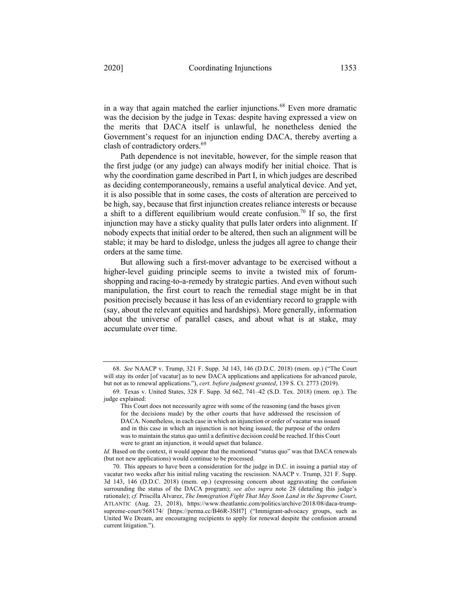in a way that again matched the earlier injunctions.<sup>68</sup> Even more dramatic was the decision by the judge in Texas: despite having expressed a view on the merits that DACA itself is unlawful, he nonetheless denied the Government's request for an injunction ending DACA, thereby averting a clash of contradictory orders. 69

Path dependence is not inevitable, however, for the simple reason that the first judge (or any judge) can always modify her initial choice. That is why the coordination game described in Part I, in which judges are described as deciding contemporaneously, remains a useful analytical device. And yet, it is also possible that in some cases, the costs of alteration are perceived to be high, say, because that first injunction creates reliance interests or because a shift to a different equilibrium would create confusion.<sup>70</sup> If so, the first injunction may have a sticky quality that pulls later orders into alignment. If nobody expects that initial order to be altered, then such an alignment will be stable; it may be hard to dislodge, unless the judges all agree to change their orders at the same time.

But allowing such a first-mover advantage to be exercised without a higher-level guiding principle seems to invite a twisted mix of forumshopping and racing-to-a-remedy by strategic parties. And even without such manipulation, the first court to reach the remedial stage might be in that position precisely because it has less of an evidentiary record to grapple with (say, about the relevant equities and hardships). More generally, information about the universe of parallel cases, and about what is at stake, may accumulate over time.

<sup>68.</sup> *See* NAACP v. Trump, 321 F. Supp. 3d 143, 146 (D.D.C. 2018) (mem. op.) ("The Court will stay its order [of vacatur] as to new DACA applications and applications for advanced parole, but not as to renewal applications."), *cert. before judgment granted*, 139 S. Ct. 2773 (2019).

<sup>69.</sup> Texas v. United States, 328 F. Supp. 3d 662, 741–42 (S.D. Tex. 2018) (mem. op.). The judge explained:

This Court does not necessarily agree with some of the reasoning (and the bases given for the decisions made) by the other courts that have addressed the rescission of DACA. Nonetheless, in each case in which an injunction or order of vacatur was issued and in this case in which an injunction is not being issued, the purpose of the orders was to maintain the status quo until a definitive decision could be reached. If this Court were to grant an injunction, it would upset that balance.

*Id.* Based on the context, it would appear that the mentioned "status quo" was that DACA renewals (but not new applications) would continue to be processed.

<sup>70.</sup> This appears to have been a consideration for the judge in D.C. in issuing a partial stay of vacatur two weeks after his initial ruling vacating the rescission. NAACP v. Trump, 321 F. Supp. 3d 143, 146 (D.D.C. 2018) (mem. op.) (expressing concern about aggravating the confusion surrounding the status of the DACA program); *see also supra* note 28 (detailing this judge's rationale); *cf.* Priscilla Alvarez, *The Immigration Fight That May Soon Land in the Supreme Court*, ATLANTIC (Aug. 23, 2018), https://www.theatlantic.com/politics/archive/2018/08/daca-trumpsupreme-court/568174/ [https://perma.cc/B46R-3SH7] ("Immigrant-advocacy groups, such as United We Dream, are encouraging recipients to apply for renewal despite the confusion around current litigation.").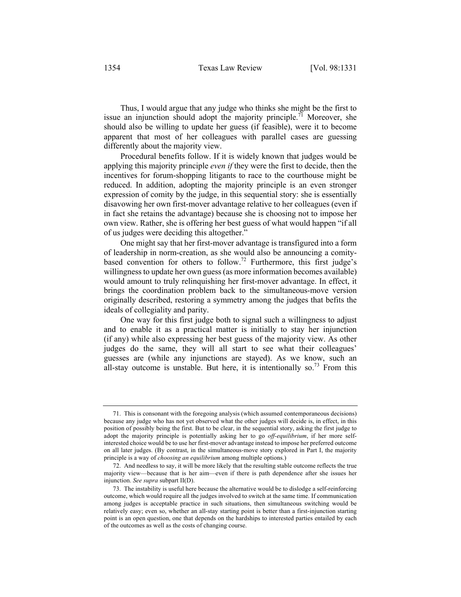Thus, I would argue that any judge who thinks she might be the first to issue an injunction should adopt the majority principle.<sup>71</sup> Moreover, she should also be willing to update her guess (if feasible), were it to become apparent that most of her colleagues with parallel cases are guessing differently about the majority view.

Procedural benefits follow. If it is widely known that judges would be applying this majority principle *even if* they were the first to decide, then the incentives for forum-shopping litigants to race to the courthouse might be reduced. In addition, adopting the majority principle is an even stronger expression of comity by the judge, in this sequential story: she is essentially disavowing her own first-mover advantage relative to her colleagues (even if in fact she retains the advantage) because she is choosing not to impose her own view. Rather, she is offering her best guess of what would happen "if all of us judges were deciding this altogether."

One might say that her first-mover advantage is transfigured into a form of leadership in norm-creation, as she would also be announcing a comitybased convention for others to follow.<sup>72</sup> Furthermore, this first judge's willingness to update her own guess (as more information becomes available) would amount to truly relinquishing her first-mover advantage. In effect, it brings the coordination problem back to the simultaneous-move version originally described, restoring a symmetry among the judges that befits the ideals of collegiality and parity.

One way for this first judge both to signal such a willingness to adjust and to enable it as a practical matter is initially to stay her injunction (if any) while also expressing her best guess of the majority view. As other judges do the same, they will all start to see what their colleagues' guesses are (while any injunctions are stayed). As we know, such an all-stay outcome is unstable. But here, it is intentionally so.<sup>73</sup> From this

<sup>71.</sup> This is consonant with the foregoing analysis (which assumed contemporaneous decisions) because any judge who has not yet observed what the other judges will decide is, in effect, in this position of possibly being the first. But to be clear, in the sequential story, asking the first judge to adopt the majority principle is potentially asking her to go *off-equilibrium*, if her more selfinterested choice would be to use her first-mover advantage instead to impose her preferred outcome on all later judges. (By contrast, in the simultaneous-move story explored in Part I, the majority principle is a way of *choosing an equilibrium* among multiple options.)

<sup>72.</sup> And needless to say, it will be more likely that the resulting stable outcome reflects the true majority view—because that is her aim—even if there is path dependence after she issues her injunction. *See supra* subpart II(D).

<sup>73.</sup> The instability is useful here because the alternative would be to dislodge a self-reinforcing outcome, which would require all the judges involved to switch at the same time. If communication among judges is acceptable practice in such situations, then simultaneous switching would be relatively easy; even so, whether an all-stay starting point is better than a first-injunction starting point is an open question, one that depends on the hardships to interested parties entailed by each of the outcomes as well as the costs of changing course.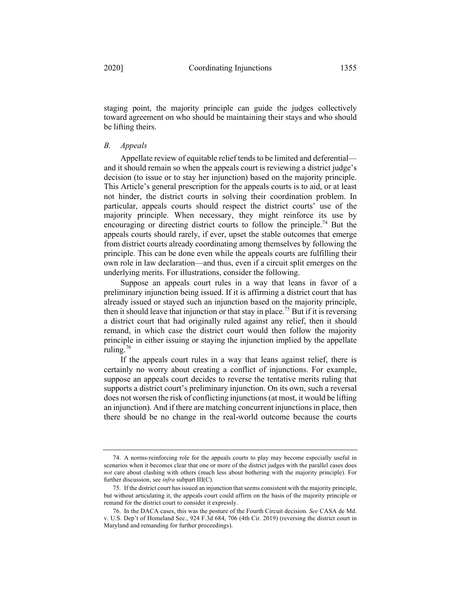staging point, the majority principle can guide the judges collectively toward agreement on who should be maintaining their stays and who should be lifting theirs.

#### *B. Appeals*

Appellate review of equitable relief tends to be limited and deferential and it should remain so when the appeals court is reviewing a district judge's decision (to issue or to stay her injunction) based on the majority principle. This Article's general prescription for the appeals courts is to aid, or at least not hinder, the district courts in solving their coordination problem. In particular, appeals courts should respect the district courts' use of the majority principle. When necessary, they might reinforce its use by encouraging or directing district courts to follow the principle.<sup>74</sup> But the appeals courts should rarely, if ever, upset the stable outcomes that emerge from district courts already coordinating among themselves by following the principle. This can be done even while the appeals courts are fulfilling their own role in law declaration—and thus, even if a circuit split emerges on the underlying merits. For illustrations, consider the following.

Suppose an appeals court rules in a way that leans in favor of a preliminary injunction being issued. If it is affirming a district court that has already issued or stayed such an injunction based on the majority principle, then it should leave that injunction or that stay in place.<sup>75</sup> But if it is reversing a district court that had originally ruled against any relief, then it should remand, in which case the district court would then follow the majority principle in either issuing or staying the injunction implied by the appellate ruling.<sup>76</sup>

If the appeals court rules in a way that leans against relief, there is certainly no worry about creating a conflict of injunctions. For example, suppose an appeals court decides to reverse the tentative merits ruling that supports a district court's preliminary injunction. On its own, such a reversal does not worsen the risk of conflicting injunctions (at most, it would be lifting an injunction). And if there are matching concurrent injunctions in place, then there should be no change in the real-world outcome because the courts

<sup>74.</sup> A norms-reinforcing role for the appeals courts to play may become especially useful in scenarios when it becomes clear that one or more of the district judges with the parallel cases does *not* care about clashing with others (much less about bothering with the majority principle). For further discussion, see *infra* subpart III(C).

<sup>75.</sup> If the district court has issued an injunction that seems consistent with the majority principle, but without articulating it, the appeals court could affirm on the basis of the majority principle or remand for the district court to consider it expressly.

<sup>76.</sup> In the DACA cases, this was the posture of the Fourth Circuit decision. *See* CASA de Md. v. U.S. Dep't of Homeland Sec., 924 F.3d 684, 706 (4th Cir. 2019) (reversing the district court in Maryland and remanding for further proceedings).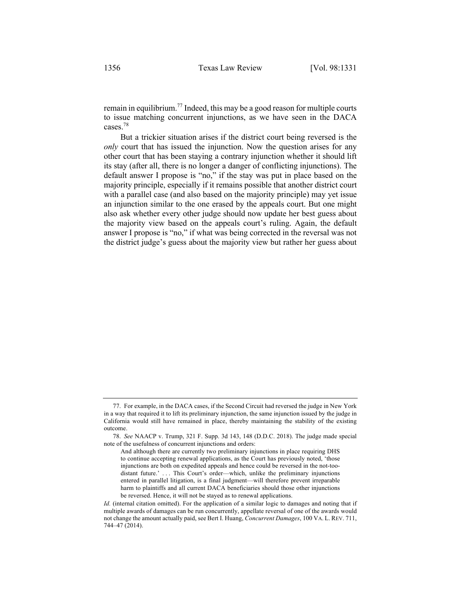remain in equilibrium.<sup>77</sup> Indeed, this may be a good reason for multiple courts to issue matching concurrent injunctions, as we have seen in the DACA cases.78

But a trickier situation arises if the district court being reversed is the *only* court that has issued the injunction. Now the question arises for any other court that has been staying a contrary injunction whether it should lift its stay (after all, there is no longer a danger of conflicting injunctions). The default answer I propose is "no," if the stay was put in place based on the majority principle, especially if it remains possible that another district court with a parallel case (and also based on the majority principle) may yet issue an injunction similar to the one erased by the appeals court. But one might also ask whether every other judge should now update her best guess about the majority view based on the appeals court's ruling. Again, the default answer I propose is "no," if what was being corrected in the reversal was not the district judge's guess about the majority view but rather her guess about

<sup>77.</sup> For example, in the DACA cases, if the Second Circuit had reversed the judge in New York in a way that required it to lift its preliminary injunction, the same injunction issued by the judge in California would still have remained in place, thereby maintaining the stability of the existing outcome.

<sup>78.</sup> *See* NAACP v. Trump, 321 F. Supp. 3d 143, 148 (D.D.C. 2018). The judge made special note of the usefulness of concurrent injunctions and orders:

And although there are currently two preliminary injunctions in place requiring DHS to continue accepting renewal applications, as the Court has previously noted, 'those injunctions are both on expedited appeals and hence could be reversed in the not-toodistant future.' . . . This Court's order—which, unlike the preliminary injunctions entered in parallel litigation, is a final judgment—will therefore prevent irreparable harm to plaintiffs and all current DACA beneficiaries should those other injunctions be reversed. Hence, it will not be stayed as to renewal applications.

*Id.* (internal citation omitted). For the application of a similar logic to damages and noting that if multiple awards of damages can be run concurrently, appellate reversal of one of the awards would not change the amount actually paid, see Bert I. Huang, *Concurrent Damages*, 100 VA. L. REV. 711, 744–47 (2014).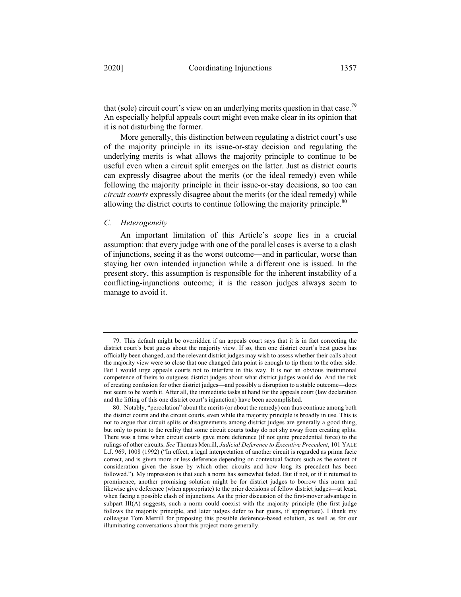that (sole) circuit court's view on an underlying merits question in that case.<sup>79</sup> An especially helpful appeals court might even make clear in its opinion that it is not disturbing the former.

More generally, this distinction between regulating a district court's use of the majority principle in its issue-or-stay decision and regulating the underlying merits is what allows the majority principle to continue to be useful even when a circuit split emerges on the latter. Just as district courts can expressly disagree about the merits (or the ideal remedy) even while following the majority principle in their issue-or-stay decisions, so too can *circuit courts* expressly disagree about the merits (or the ideal remedy) while allowing the district courts to continue following the majority principle.<sup>80</sup>

#### *C. Heterogeneity*

An important limitation of this Article's scope lies in a crucial assumption: that every judge with one of the parallel cases is averse to a clash of injunctions, seeing it as the worst outcome—and in particular, worse than staying her own intended injunction while a different one is issued. In the present story, this assumption is responsible for the inherent instability of a conflicting-injunctions outcome; it is the reason judges always seem to manage to avoid it.

<sup>79.</sup> This default might be overridden if an appeals court says that it is in fact correcting the district court's best guess about the majority view. If so, then one district court's best guess has officially been changed, and the relevant district judges may wish to assess whether their calls about the majority view were so close that one changed data point is enough to tip them to the other side. But I would urge appeals courts not to interfere in this way. It is not an obvious institutional competence of theirs to outguess district judges about what district judges would do. And the risk of creating confusion for other district judges—and possibly a disruption to a stable outcome—does not seem to be worth it. After all, the immediate tasks at hand for the appeals court (law declaration and the lifting of this one district court's injunction) have been accomplished.

<sup>80.</sup> Notably, "percolation" about the merits (or about the remedy) can thus continue among both the district courts and the circuit courts, even while the majority principle is broadly in use. This is not to argue that circuit splits or disagreements among district judges are generally a good thing, but only to point to the reality that some circuit courts today do not shy away from creating splits. There was a time when circuit courts gave more deference (if not quite precedential force) to the rulings of other circuits. *See* Thomas Merrill, *Judicial Deference to Executive Precedent*, 101 YALE L.J. 969, 1008 (1992) ("In effect, a legal interpretation of another circuit is regarded as prima facie correct, and is given more or less deference depending on contextual factors such as the extent of consideration given the issue by which other circuits and how long its precedent has been followed."). My impression is that such a norm has somewhat faded. But if not, or if it returned to prominence, another promising solution might be for district judges to borrow this norm and likewise give deference (when appropriate) to the prior decisions of fellow district judges—at least, when facing a possible clash of injunctions. As the prior discussion of the first-mover advantage in subpart III(A) suggests, such a norm could coexist with the majority principle (the first judge follows the majority principle, and later judges defer to her guess, if appropriate). I thank my colleague Tom Merrill for proposing this possible deference-based solution, as well as for our illuminating conversations about this project more generally.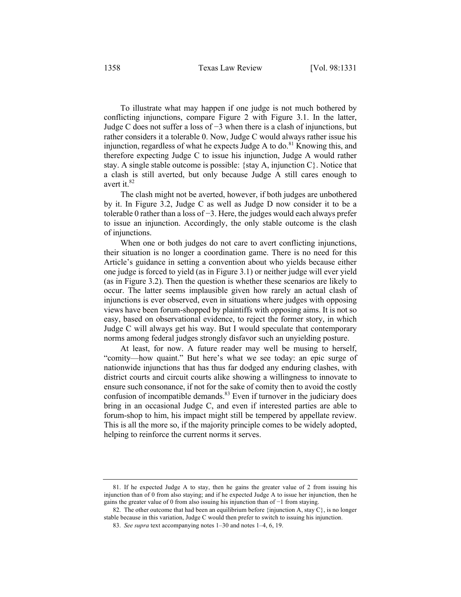To illustrate what may happen if one judge is not much bothered by conflicting injunctions, compare Figure 2 with Figure 3.1. In the latter, Judge C does not suffer a loss of −3 when there is a clash of injunctions, but rather considers it a tolerable 0. Now, Judge C would always rather issue his injunction, regardless of what he expects Judge A to do.<sup>81</sup> Knowing this, and therefore expecting Judge C to issue his injunction, Judge A would rather stay. A single stable outcome is possible: {stay A, injunction  $C$ }. Notice that a clash is still averted, but only because Judge A still cares enough to avert it.<sup>82</sup>

The clash might not be averted, however, if both judges are unbothered by it. In Figure 3.2, Judge C as well as Judge D now consider it to be a tolerable 0 rather than a loss of −3. Here, the judges would each always prefer to issue an injunction. Accordingly, the only stable outcome is the clash of injunctions.

When one or both judges do not care to avert conflicting injunctions, their situation is no longer a coordination game. There is no need for this Article's guidance in setting a convention about who yields because either one judge is forced to yield (as in Figure 3.1) or neither judge will ever yield (as in Figure 3.2). Then the question is whether these scenarios are likely to occur. The latter seems implausible given how rarely an actual clash of injunctions is ever observed, even in situations where judges with opposing views have been forum-shopped by plaintiffs with opposing aims. It is not so easy, based on observational evidence, to reject the former story, in which Judge C will always get his way. But I would speculate that contemporary norms among federal judges strongly disfavor such an unyielding posture.

At least, for now. A future reader may well be musing to herself, "comity—how quaint." But here's what we see today: an epic surge of nationwide injunctions that has thus far dodged any enduring clashes, with district courts and circuit courts alike showing a willingness to innovate to ensure such consonance, if not for the sake of comity then to avoid the costly confusion of incompatible demands.<sup>83</sup> Even if turnover in the judiciary does bring in an occasional Judge C, and even if interested parties are able to forum-shop to him, his impact might still be tempered by appellate review. This is all the more so, if the majority principle comes to be widely adopted, helping to reinforce the current norms it serves.

<sup>81.</sup> If he expected Judge A to stay, then he gains the greater value of 2 from issuing his injunction than of 0 from also staying; and if he expected Judge A to issue her injunction, then he gains the greater value of 0 from also issuing his injunction than of −1 from staying.

<sup>82.</sup> The other outcome that had been an equilibrium before {injunction A, stay C}, is no longer stable because in this variation, Judge C would then prefer to switch to issuing his injunction.

<sup>83.</sup> *See supra* text accompanying notes 1–30 and notes 1–4, 6, 19.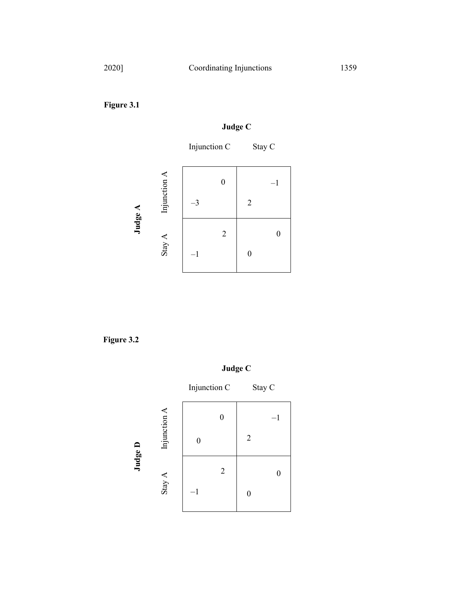**Figure 3.1**

## **Judge C**

Injunction C Stay C



**Figure 3.2**

**Judge C**

|         |              | Injunction C |                |                | Stay C |
|---------|--------------|--------------|----------------|----------------|--------|
| Judge D | Injunction A |              |                |                | $-1$   |
|         |              |              |                | $\overline{2}$ |        |
|         | Stay A       |              | $\overline{2}$ |                |        |
|         |              | $^{-1}$      |                | 0              |        |